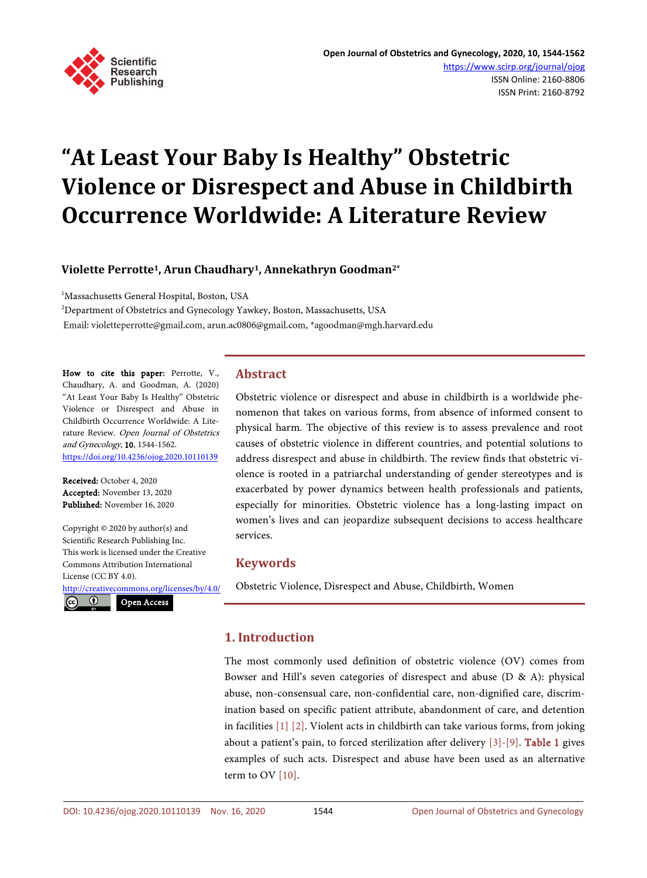

# **"At Least Your Baby Is Healthy" Obstetric Violence or Disrespect and Abuse in Childbirth Occurrence Worldwide: A Literature Review**

## **Violette Perrotte1, Arun Chaudhary1, Annekathryn Goodman2\***

<sup>1</sup>Massachusetts General Hospital, Boston, USA

2 Department of Obstetrics and Gynecology Yawkey, Boston, Massachusetts, USA Email: violetteperrotte@gmail.com, arun.ac0806@gmail.com, \*agoodman@mgh.harvard.edu

How to cite this paper: Perrotte, V., Chaudhary, A. and Goodman, A. (2020) "At Least Your Baby Is Healthy" Obstetric Violence or Disrespect and Abuse in Childbirth Occurrence Worldwide: A Literature Review. Open Journal of Obstetrics and Gynecology, 10, 1544-1562. <https://doi.org/10.4236/ojog.2020.10110139>

Received: October 4, 2020 Accepted: November 13, 2020 Published: November 16, 2020

Copyright © 2020 by author(s) and Scientific Research Publishing Inc. This work is licensed under the Creative Commons Attribution International License (CC BY 4.0).

<http://creativecommons.org/licenses/by/4.0/>

# $\odot$

Open Access

# **Abstract**

Obstetric violence or disrespect and abuse in childbirth is a worldwide phenomenon that takes on various forms, from absence of informed consent to physical harm. The objective of this review is to assess prevalence and root causes of obstetric violence in different countries, and potential solutions to address disrespect and abuse in childbirth. The review finds that obstetric violence is rooted in a patriarchal understanding of gender stereotypes and is exacerbated by power dynamics between health professionals and patients, especially for minorities. Obstetric violence has a long-lasting impact on women's lives and can jeopardize subsequent decisions to access healthcare services.

# **Keywords**

Obstetric Violence, Disrespect and Abuse, Childbirth, Women

# **1. Introduction**

The most commonly used definition of obstetric violence (OV) comes from Bowser and Hill's seven categories of disrespect and abuse (D & A): physical abuse, non-consensual care, non-confidential care, non-dignified care, discrimination based on specific patient attribute, abandonment of care, and detention in facilities [\[1\]](#page-15-0) [\[2\].](#page-15-1) Violent acts in childbirth can take various forms, from joking about a patient's pain, to forced sterilization after delivery  $[3]$ - $[9]$ . [Table 1](#page-1-0) gives examples of such acts. Disrespect and abuse have been used as an alternative term to OV [\[10\].](#page-15-4)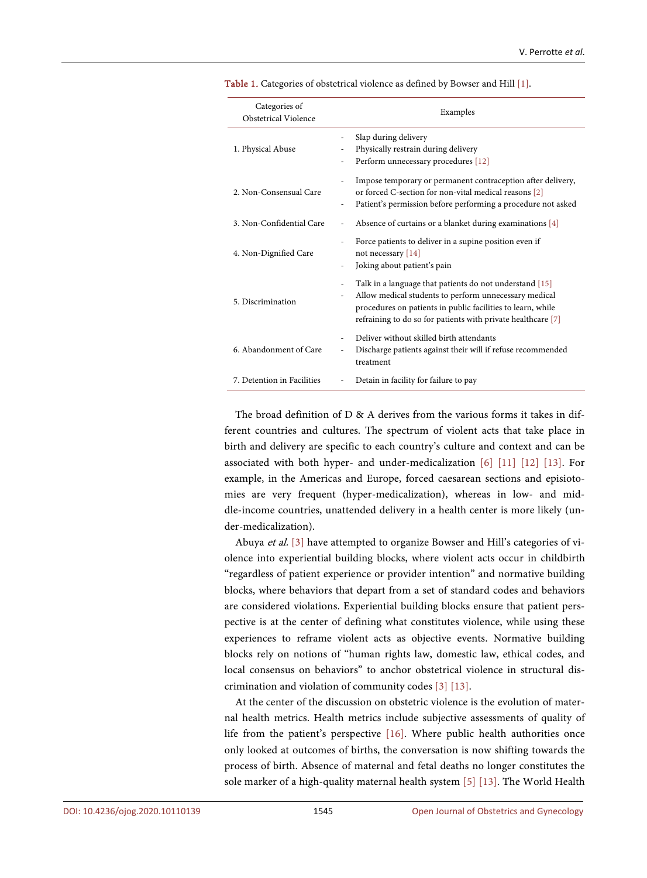| Categories of<br>Obstetrical Violence | Examples                                                                                                                                                                                                                                                                                      |
|---------------------------------------|-----------------------------------------------------------------------------------------------------------------------------------------------------------------------------------------------------------------------------------------------------------------------------------------------|
| 1. Physical Abuse                     | Slap during delivery<br>$\overline{\phantom{0}}$<br>Physically restrain during delivery<br>Perform unnecessary procedures [12]<br>$\overline{\phantom{0}}$                                                                                                                                    |
| 2. Non-Consensual Care                | Impose temporary or permanent contraception after delivery,<br>or forced C-section for non-vital medical reasons [2]<br>Patient's permission before performing a procedure not asked<br>$\overline{\phantom{0}}$                                                                              |
| 3. Non-Confidential Care              | Absence of curtains or a blanket during examinations [4]                                                                                                                                                                                                                                      |
| 4. Non-Dignified Care                 | Force patients to deliver in a supine position even if<br>$\overline{a}$<br>not necessary [14]<br>Joking about patient's pain<br>$\overline{\phantom{0}}$                                                                                                                                     |
| 5. Discrimination                     | Talk in a language that patients do not understand [15]<br>$\overline{\phantom{0}}$<br>Allow medical students to perform unnecessary medical<br>$\overline{a}$<br>procedures on patients in public facilities to learn, while<br>refraining to do so for patients with private healthcare [7] |
| 6. Abandonment of Care                | Deliver without skilled birth attendants<br>Discharge patients against their will if refuse recommended<br>treatment                                                                                                                                                                          |
| 7. Detention in Facilities            | Detain in facility for failure to pay                                                                                                                                                                                                                                                         |

<span id="page-1-0"></span>Table 1. Categories of obstetrical violence as defined by Bowser and Hill [\[1\].](#page-15-0)

The broad definition of  $D \& A$  derives from the various forms it takes in different countries and cultures. The spectrum of violent acts that take place in birth and delivery are specific to each country's culture and context and can be associated with both hyper- and under-medicalization [\[6\]](#page-15-7) [\[11\]](#page-16-3) [\[12\]](#page-16-0) [\[13\].](#page-16-4) For example, in the Americas and Europe, forced caesarean sections and episiotomies are very frequent (hyper-medicalization), whereas in low- and middle-income countries, unattended delivery in a health center is more likely (under-medicalization).

Abuya et al. [\[3\]](#page-15-2) have attempted to organize Bowser and Hill's categories of violence into experiential building blocks, where violent acts occur in childbirth "regardless of patient experience or provider intention" and normative building blocks, where behaviors that depart from a set of standard codes and behaviors are considered violations. Experiential building blocks ensure that patient perspective is at the center of defining what constitutes violence, while using these experiences to reframe violent acts as objective events. Normative building blocks rely on notions of "human rights law, domestic law, ethical codes, and local consensus on behaviors" to anchor obstetrical violence in structural discrimination and violation of community code[s \[3\]](#page-15-2) [\[13\].](#page-16-4)

At the center of the discussion on obstetric violence is the evolution of maternal health metrics. Health metrics include subjective assessments of quality of life from the patient's perspective [\[16\].](#page-16-5) Where public health authorities once only looked at outcomes of births, the conversation is now shifting towards the process of birth. Absence of maternal and fetal deaths no longer constitutes the sole marker of a high-quality maternal health system [\[5\]](#page-15-8) [\[13\].](#page-16-4) The World Health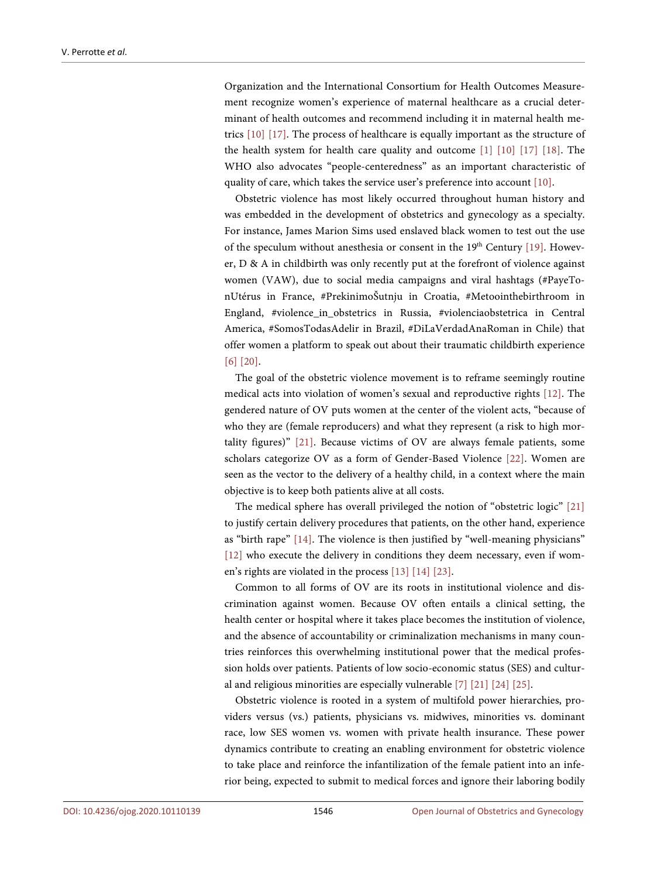Organization and the International Consortium for Health Outcomes Measurement recognize women's experience of maternal healthcare as a crucial determinant of health outcomes and recommend including it in maternal health metrics [\[10\]](#page-15-4) [\[17\].](#page-16-6) The process of healthcare is equally important as the structure of the health system for health care quality and outcome [\[1\]](#page-15-0) [\[10\]](#page-15-4) [\[17\]](#page-16-6) [\[18\].](#page-16-7) The WHO also advocates "people-centeredness" as an important characteristic of quality of care, which takes the service user's preference into account [\[10\].](#page-15-4)

Obstetric violence has most likely occurred throughout human history and was embedded in the development of obstetrics and gynecology as a specialty. For instance, James Marion Sims used enslaved black women to test out the use of the speculum without anesthesia or consent in the  $19<sup>th</sup>$  Century [\[19\].](#page-16-8) However, D & A in childbirth was only recently put at the forefront of violence against women (VAW), due to social media campaigns and viral hashtags (#PayeTonUtérus in France, #PrekinimoŠutnju in Croatia, #Metoointhebirthroom in England, #violence in obstetrics in Russia, #violenciaobstetrica in Central America, #SomosTodasAdelir in Brazil, #DiLaVerdadAnaRoman in Chile) that offer women a platform to speak out about their traumatic childbirth experience [\[6\]](#page-15-7) [\[20\].](#page-16-9)

The goal of the obstetric violence movement is to reframe seemingly routine medical acts into violation of women's sexual and reproductive rights [\[12\].](#page-16-0) The gendered nature of OV puts women at the center of the violent acts, "because of who they are (female reproducers) and what they represent (a risk to high mortality figures)" [\[21\].](#page-16-10) Because victims of OV are always female patients, some scholars categorize OV as a form of Gender-Based Violence [\[22\].](#page-16-11) Women are seen as the vector to the delivery of a healthy child, in a context where the main objective is to keep both patients alive at all costs.

The medical sphere has overall privileged the notion of "obstetric logic" [\[21\]](#page-16-10) to justify certain delivery procedures that patients, on the other hand, experience as "birth rape" [\[14\].](#page-16-1) The violence is then justified by "well-meaning physicians" [\[12\]](#page-16-0) who execute the delivery in conditions they deem necessary, even if women's rights are violated in the process [\[13\]](#page-16-4) [\[14\]](#page-16-1) [\[23\].](#page-16-12)

Common to all forms of OV are its roots in institutional violence and discrimination against women. Because OV often entails a clinical setting, the health center or hospital where it takes place becomes the institution of violence, and the absence of accountability or criminalization mechanisms in many countries reinforces this overwhelming institutional power that the medical profession holds over patients. Patients of low socio-economic status (SES) and cultural and religious minorities are especially vulnerable [\[7\]](#page-15-6) [\[21\]](#page-16-10) [\[24\]](#page-16-13) [\[25\].](#page-16-14)

Obstetric violence is rooted in a system of multifold power hierarchies, providers versus (vs.) patients, physicians vs. midwives, minorities vs. dominant race, low SES women vs. women with private health insurance. These power dynamics contribute to creating an enabling environment for obstetric violence to take place and reinforce the infantilization of the female patient into an inferior being, expected to submit to medical forces and ignore their laboring bodily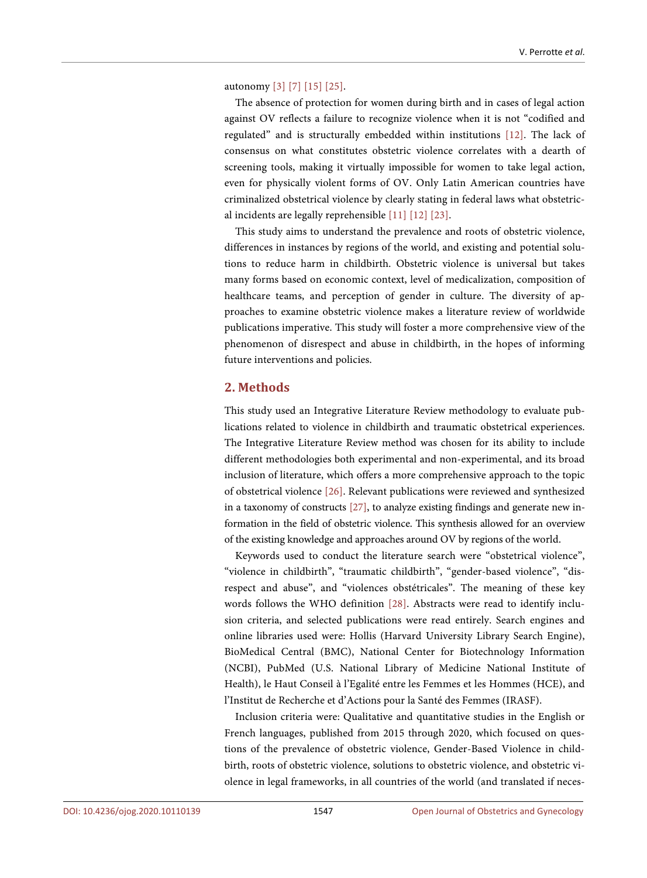autonomy [\[3\]](#page-15-2) [\[7\]](#page-15-6) [\[15\]](#page-16-2) [\[25\].](#page-16-14)

The absence of protection for women during birth and in cases of legal action against OV reflects a failure to recognize violence when it is not "codified and regulated" and is structurally embedded within institutions [\[12\].](#page-16-0) The lack of consensus on what constitutes obstetric violence correlates with a dearth of screening tools, making it virtually impossible for women to take legal action, even for physically violent forms of OV. Only Latin American countries have criminalized obstetrical violence by clearly stating in federal laws what obstetrical incidents are legally reprehensibl[e \[11\]](#page-16-3) [\[12\]](#page-16-0) [\[23\].](#page-16-12)

This study aims to understand the prevalence and roots of obstetric violence, differences in instances by regions of the world, and existing and potential solutions to reduce harm in childbirth. Obstetric violence is universal but takes many forms based on economic context, level of medicalization, composition of healthcare teams, and perception of gender in culture. The diversity of approaches to examine obstetric violence makes a literature review of worldwide publications imperative. This study will foster a more comprehensive view of the phenomenon of disrespect and abuse in childbirth, in the hopes of informing future interventions and policies.

# **2. Methods**

This study used an Integrative Literature Review methodology to evaluate publications related to violence in childbirth and traumatic obstetrical experiences. The Integrative Literature Review method was chosen for its ability to include different methodologies both experimental and non-experimental, and its broad inclusion of literature, which offers a more comprehensive approach to the topic of obstetrical violence [\[26\].](#page-16-15) Relevant publications were reviewed and synthesized in a taxonomy of constructs [\[27\],](#page-17-0) to analyze existing findings and generate new information in the field of obstetric violence. This synthesis allowed for an overview of the existing knowledge and approaches around OV by regions of the world.

Keywords used to conduct the literature search were "obstetrical violence", "violence in childbirth", "traumatic childbirth", "gender-based violence", "disrespect and abuse", and "violences obstétricales". The meaning of these key words follows the WHO definition [\[28\].](#page-17-1) Abstracts were read to identify inclusion criteria, and selected publications were read entirely. Search engines and online libraries used were: Hollis (Harvard University Library Search Engine), BioMedical Central (BMC), National Center for Biotechnology Information (NCBI), PubMed (U.S. National Library of Medicine National Institute of Health), le Haut Conseil à l'Egalité entre les Femmes et les Hommes (HCE), and l'Institut de Recherche et d'Actions pour la Santé des Femmes (IRASF).

Inclusion criteria were: Qualitative and quantitative studies in the English or French languages, published from 2015 through 2020, which focused on questions of the prevalence of obstetric violence, Gender-Based Violence in childbirth, roots of obstetric violence, solutions to obstetric violence, and obstetric violence in legal frameworks, in all countries of the world (and translated if neces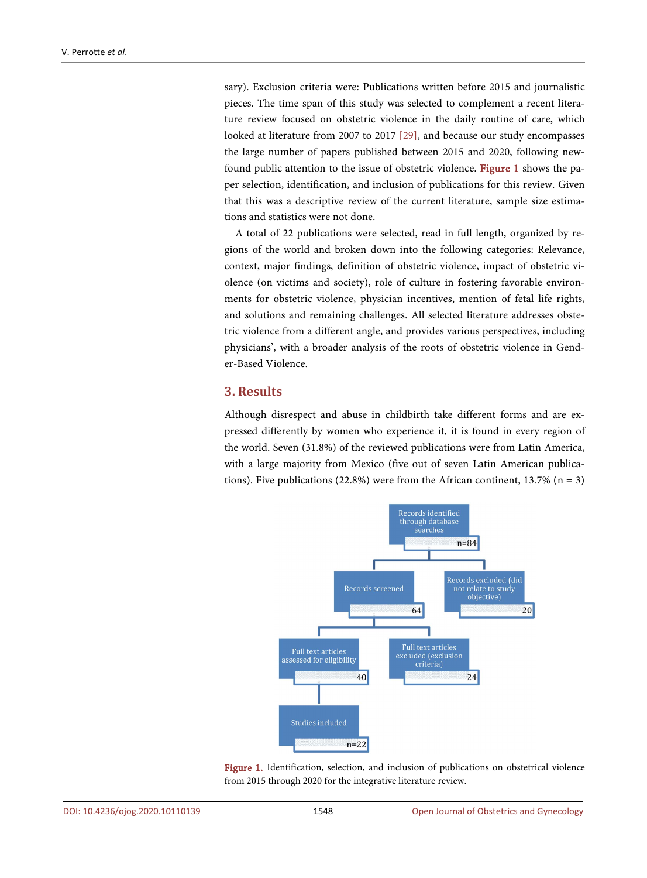sary). Exclusion criteria were: Publications written before 2015 and journalistic pieces. The time span of this study was selected to complement a recent literature review focused on obstetric violence in the daily routine of care, which looked at literature from 2007 to 2017 [\[29\],](#page-17-2) and because our study encompasses the large number of papers published between 2015 and 2020, following newfound public attention to the issue of obstetric violence. [Figure 1](#page-4-0) shows the paper selection, identification, and inclusion of publications for this review. Given that this was a descriptive review of the current literature, sample size estimations and statistics were not done.

A total of 22 publications were selected, read in full length, organized by regions of the world and broken down into the following categories: Relevance, context, major findings, definition of obstetric violence, impact of obstetric violence (on victims and society), role of culture in fostering favorable environments for obstetric violence, physician incentives, mention of fetal life rights, and solutions and remaining challenges. All selected literature addresses obstetric violence from a different angle, and provides various perspectives, including physicians', with a broader analysis of the roots of obstetric violence in Gender-Based Violence.

#### **3. Results**

<span id="page-4-0"></span>Although disrespect and abuse in childbirth take different forms and are expressed differently by women who experience it, it is found in every region of the world. Seven (31.8%) of the reviewed publications were from Latin America, with a large majority from Mexico (five out of seven Latin American publications). Five publications (22.8%) were from the African continent, 13.7% ( $n = 3$ )



Figure 1. Identification, selection, and inclusion of publications on obstetrical violence from 2015 through 2020 for the integrative literature review.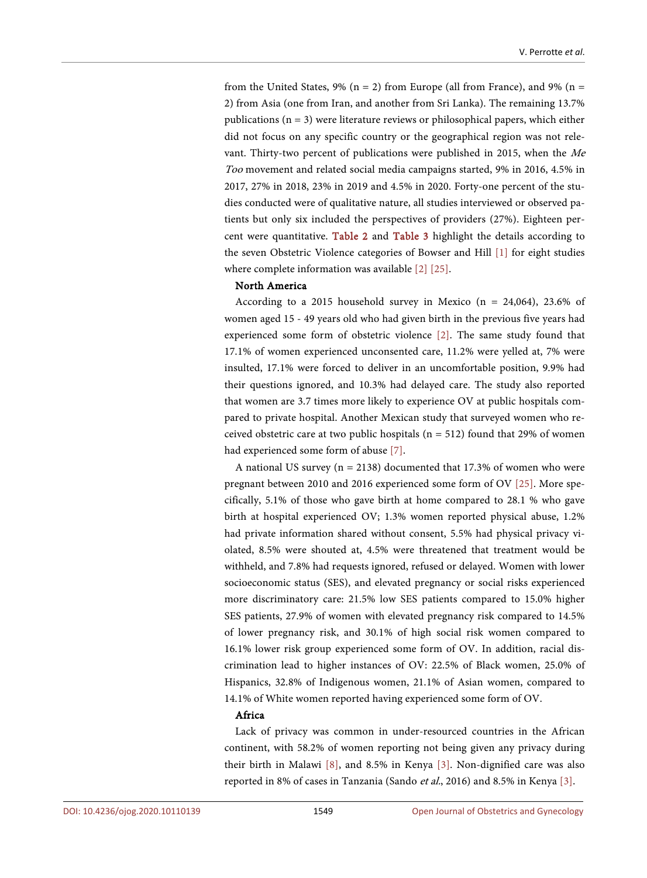from the United States, 9% ( $n = 2$ ) from Europe (all from France), and 9% ( $n =$ 2) from Asia (one from Iran, and another from Sri Lanka). The remaining 13.7% publications ( $n = 3$ ) were literature reviews or philosophical papers, which either did not focus on any specific country or the geographical region was not relevant. Thirty-two percent of publications were published in 2015, when the Me Too movement and related social media campaigns started, 9% in 2016, 4.5% in 2017, 27% in 2018, 23% in 2019 and 4.5% in 2020. Forty-one percent of the studies conducted were of qualitative nature, all studies interviewed or observed patients but only six included the perspectives of providers (27%). Eighteen percent were quantitative. [Table 2](#page-6-0) and [Table 3](#page-7-0) highlight the details according to the seven Obstetric Violence categories of Bowser and Hill [\[1\]](#page-15-0) for eight studies where complete information was available [\[2\]](#page-15-1) [\[25\].](#page-16-14)

#### North America

According to a 2015 household survey in Mexico ( $n = 24,064$ ), 23.6% of women aged 15 - 49 years old who had given birth in the previous five years had experienced some form of obstetric violence [\[2\].](#page-15-1) The same study found that 17.1% of women experienced unconsented care, 11.2% were yelled at, 7% were insulted, 17.1% were forced to deliver in an uncomfortable position, 9.9% had their questions ignored, and 10.3% had delayed care. The study also reported that women are 3.7 times more likely to experience OV at public hospitals compared to private hospital. Another Mexican study that surveyed women who received obstetric care at two public hospitals ( $n = 512$ ) found that 29% of women had experienced some form of abuse [\[7\].](#page-15-6)

A national US survey ( $n = 2138$ ) documented that 17.3% of women who were pregnant between 2010 and 2016 experienced some form of OV [\[25\].](#page-16-14) More specifically, 5.1% of those who gave birth at home compared to 28.1 % who gave birth at hospital experienced OV; 1.3% women reported physical abuse, 1.2% had private information shared without consent, 5.5% had physical privacy violated, 8.5% were shouted at, 4.5% were threatened that treatment would be withheld, and 7.8% had requests ignored, refused or delayed. Women with lower socioeconomic status (SES), and elevated pregnancy or social risks experienced more discriminatory care: 21.5% low SES patients compared to 15.0% higher SES patients, 27.9% of women with elevated pregnancy risk compared to 14.5% of lower pregnancy risk, and 30.1% of high social risk women compared to 16.1% lower risk group experienced some form of OV. In addition, racial discrimination lead to higher instances of OV: 22.5% of Black women, 25.0% of Hispanics, 32.8% of Indigenous women, 21.1% of Asian women, compared to 14.1% of White women reported having experienced some form of OV.

#### Africa

Lack of privacy was common in under-resourced countries in the African continent, with 58.2% of women reporting not being given any privacy during their birth in Malawi [\[8\],](#page-15-9) and 8.5% in Kenya [\[3\].](#page-15-2) Non-dignified care was also reported in 8% of cases in Tanzania (Sando et al., 2016) and 8.5% in Kenya [\[3\].](#page-15-2)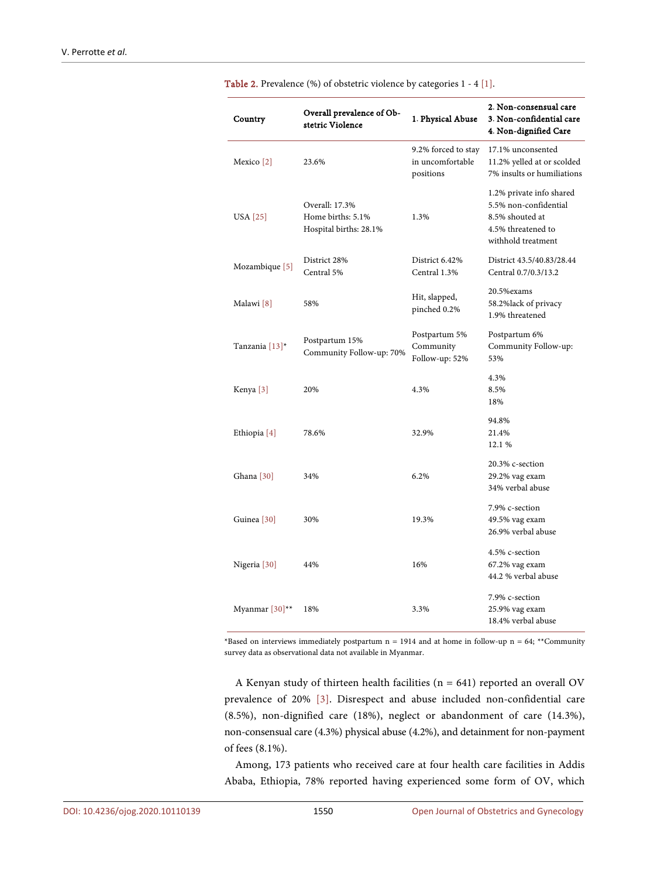| Country                      | Overall prevalence of Ob-<br>stetric Violence                 | 1. Physical Abuse                                    | 2. Non-consensual care<br>3. Non-confidential care<br>4. Non-dignified Care                                      |
|------------------------------|---------------------------------------------------------------|------------------------------------------------------|------------------------------------------------------------------------------------------------------------------|
| Mexico <sup>[2]</sup>        | 23.6%                                                         | 9.2% forced to stay<br>in uncomfortable<br>positions | 17.1% unconsented<br>11.2% yelled at or scolded<br>7% insults or humiliations                                    |
| USA [25]                     | Overall: 17.3%<br>Home births: 5.1%<br>Hospital births: 28.1% | 1.3%                                                 | 1.2% private info shared<br>5.5% non-confidential<br>8.5% shouted at<br>4.5% threatened to<br>withhold treatment |
| Mozambique [5]               | District 28%<br>Central 5%                                    | District 6.42%<br>Central 1.3%                       | District 43.5/40.83/28.44<br>Central 0.7/0.3/13.2                                                                |
| Malawi [8]                   | 58%                                                           | Hit, slapped,<br>pinched 0.2%                        | 20.5% exams<br>58.2%lack of privacy<br>1.9% threatened                                                           |
| Tanzania [13]*               | Postpartum 15%<br>Community Follow-up: 70%                    | Postpartum 5%<br>Community<br>Follow-up: 52%         | Postpartum 6%<br>Community Follow-up:<br>53%                                                                     |
| Kenya [3]                    | 20%                                                           | 4.3%                                                 | 4.3%<br>8.5%<br>18%                                                                                              |
| Ethiopia [4]                 | 78.6%                                                         | 32.9%                                                | 94.8%<br>21.4%<br>12.1 %                                                                                         |
| Ghana [30]                   | 34%                                                           | 6.2%                                                 | 20.3% c-section<br>29.2% vag exam<br>34% verbal abuse                                                            |
| Guinea <sup>[30]</sup>       | 30%                                                           | 19.3%                                                | 7.9% c-section<br>49.5% vag exam<br>26.9% verbal abuse                                                           |
| Nigeria <sup>[30]</sup>      | 44%                                                           | 16%                                                  | 4.5% c-section<br>67.2% vag exam<br>44.2 % verbal abuse                                                          |
| Myanmar $[30]$ <sup>**</sup> | 18%                                                           | 3.3%                                                 | 7.9% c-section<br>25.9% vag exam<br>18.4% verbal abuse                                                           |

<span id="page-6-0"></span>Table 2. Prevalence (%) of obstetric violence by categories 1 - [4 \[1\].](#page-15-0)

\*Based on interviews immediately postpartum  $n = 1914$  and at home in follow-up  $n = 64$ ; \*\*Community survey data as observational data not available in Myanmar.

A Kenyan study of thirteen health facilities (n = 641) reported an overall OV prevalence of 20% [\[3\].](#page-15-2) Disrespect and abuse included non-confidential care (8.5%), non-dignified care (18%), neglect or abandonment of care (14.3%), non-consensual care (4.3%) physical abuse (4.2%), and detainment for non-payment of fees (8.1%).

Among, 173 patients who received care at four health care facilities in Addis Ababa, Ethiopia, 78% reported having experienced some form of OV, which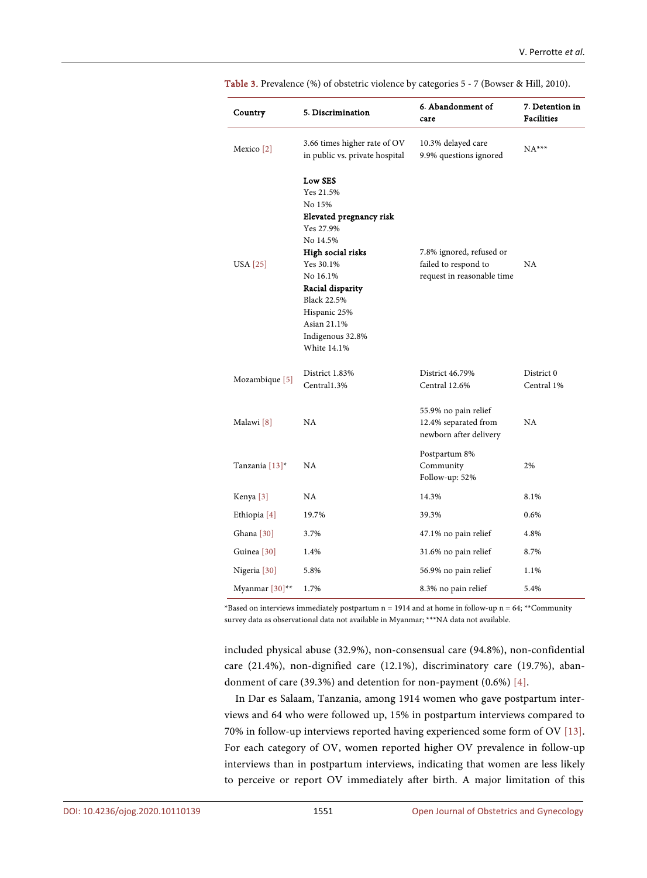| Country                   | 5. Discrimination                                                                                                                                                                                                                            | 6. Abandonment of<br>care                                                      | 7. Detention in<br><b>Facilities</b> |
|---------------------------|----------------------------------------------------------------------------------------------------------------------------------------------------------------------------------------------------------------------------------------------|--------------------------------------------------------------------------------|--------------------------------------|
| Mexico <sup>[2]</sup>     | 3.66 times higher rate of OV<br>in public vs. private hospital                                                                                                                                                                               | 10.3% delayed care<br>9.9% questions ignored                                   | $NA***$                              |
| USA [25]                  | Low SES<br>Yes 21.5%<br>No 15%<br>Elevated pregnancy risk<br>Yes 27.9%<br>No 14.5%<br>High social risks<br>Yes 30.1%<br>No 16.1%<br>Racial disparity<br><b>Black 22.5%</b><br>Hispanic 25%<br>Asian 21.1%<br>Indigenous 32.8%<br>White 14.1% | 7.8% ignored, refused or<br>failed to respond to<br>request in reasonable time | NA                                   |
| Mozambique [5]            | District 1.83%<br>Central1.3%                                                                                                                                                                                                                | District 46.79%<br>Central 12.6%                                               | District 0<br>Central 1%             |
| Malawi [8]                | NA                                                                                                                                                                                                                                           | 55.9% no pain relief<br>12.4% separated from<br>newborn after delivery         | NA                                   |
| Tanzania $[13]^*$         | NA.                                                                                                                                                                                                                                          | Postpartum 8%<br>Community<br>Follow-up: 52%                                   | 2%                                   |
| Kenya <sup>[3]</sup>      | NA                                                                                                                                                                                                                                           | 14.3%                                                                          | 8.1%                                 |
| Ethiopia [4]              | 19.7%                                                                                                                                                                                                                                        | 39.3%                                                                          | 0.6%                                 |
| Ghana [30]                | 3.7%                                                                                                                                                                                                                                         | 47.1% no pain relief                                                           | 4.8%                                 |
| Guinea <sup>[30]</sup>    | 1.4%                                                                                                                                                                                                                                         | 31.6% no pain relief                                                           | 8.7%                                 |
| Nigeria [30]              | 5.8%                                                                                                                                                                                                                                         | 56.9% no pain relief                                                           | 1.1%                                 |
| Myanmar <sup>[30]**</sup> | 1.7%                                                                                                                                                                                                                                         | 8.3% no pain relief                                                            | 5.4%                                 |

<span id="page-7-0"></span>Table 3. Prevalence (%) of obstetric violence by categories 5 - 7 (Bowser & Hill, 2010).

\*Based on interviews immediately postpartum  $n = 1914$  and at home in follow-up  $n = 64$ ; \*\*Community survey data as observational data not available in Myanmar; \*\*\*NA data not available.

included physical abuse (32.9%), non-consensual care (94.8%), non-confidential care (21.4%), non-dignified care (12.1%), discriminatory care (19.7%), abandonment of care (39.3%) and detention for non-payment (0.6%) [\[4\].](#page-15-5)

In Dar es Salaam, Tanzania, among 1914 women who gave postpartum interviews and 64 who were followed up, 15% in postpartum interviews compared to 70% in follow-up interviews reported having experienced some form of OV [\[13\].](#page-16-4)  For each category of OV, women reported higher OV prevalence in follow-up interviews than in postpartum interviews, indicating that women are less likely to perceive or report OV immediately after birth. A major limitation of this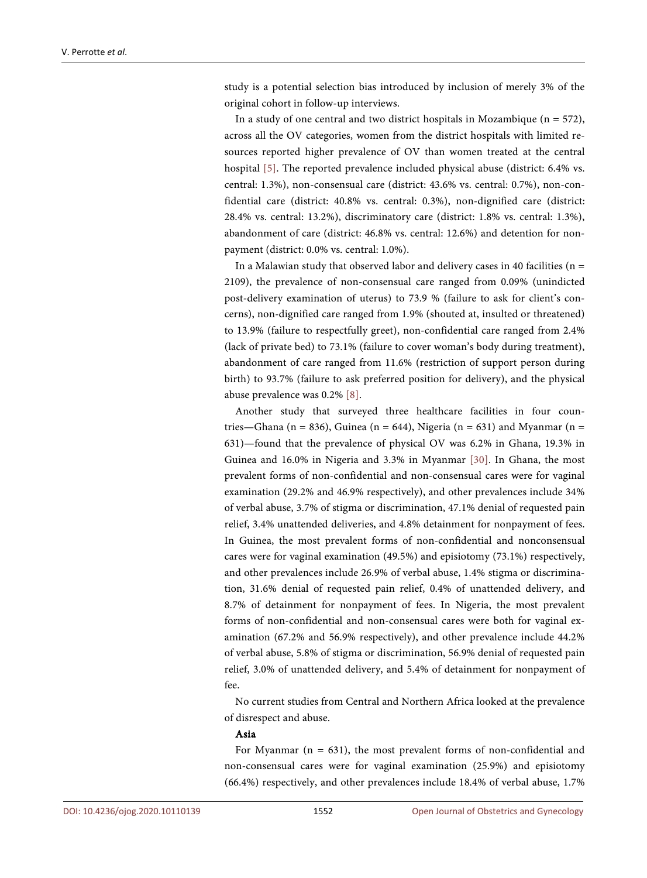study is a potential selection bias introduced by inclusion of merely 3% of the original cohort in follow-up interviews.

In a study of one central and two district hospitals in Mozambique ( $n = 572$ ), across all the OV categories, women from the district hospitals with limited resources reported higher prevalence of OV than women treated at the central hospital [\[5\].](#page-15-8) The reported prevalence included physical abuse (district: 6.4% vs. central: 1.3%), non-consensual care (district: 43.6% vs. central: 0.7%), non-confidential care (district: 40.8% vs. central: 0.3%), non-dignified care (district: 28.4% vs. central: 13.2%), discriminatory care (district: 1.8% vs. central: 1.3%), abandonment of care (district: 46.8% vs. central: 12.6%) and detention for nonpayment (district: 0.0% vs. central: 1.0%).

In a Malawian study that observed labor and delivery cases in 40 facilities ( $n =$ 2109), the prevalence of non-consensual care ranged from 0.09% (unindicted post-delivery examination of uterus) to 73.9 % (failure to ask for client's concerns), non-dignified care ranged from 1.9% (shouted at, insulted or threatened) to 13.9% (failure to respectfully greet), non-confidential care ranged from 2.4% (lack of private bed) to 73.1% (failure to cover woman's body during treatment), abandonment of care ranged from 11.6% (restriction of support person during birth) to 93.7% (failure to ask preferred position for delivery), and the physical abuse prevalence was 0.2% [\[8\].](#page-15-9)

Another study that surveyed three healthcare facilities in four countries—Ghana (n = 836), Guinea (n = 644), Nigeria (n = 631) and Myanmar (n = 631)—found that the prevalence of physical OV was 6.2% in Ghana, 19.3% in Guinea and 16.0% in Nigeria and 3.3% in Myanmar [\[30\].](#page-17-3) In Ghana, the most prevalent forms of non-confidential and non-consensual cares were for vaginal examination (29.2% and 46.9% respectively), and other prevalences include 34% of verbal abuse, 3.7% of stigma or discrimination, 47.1% denial of requested pain relief, 3.4% unattended deliveries, and 4.8% detainment for nonpayment of fees. In Guinea, the most prevalent forms of non-confidential and nonconsensual cares were for vaginal examination (49.5%) and episiotomy (73.1%) respectively, and other prevalences include 26.9% of verbal abuse, 1.4% stigma or discrimination, 31.6% denial of requested pain relief, 0.4% of unattended delivery, and 8.7% of detainment for nonpayment of fees. In Nigeria, the most prevalent forms of non-confidential and non-consensual cares were both for vaginal examination (67.2% and 56.9% respectively), and other prevalence include 44.2% of verbal abuse, 5.8% of stigma or discrimination, 56.9% denial of requested pain relief, 3.0% of unattended delivery, and 5.4% of detainment for nonpayment of fee.

No current studies from Central and Northern Africa looked at the prevalence of disrespect and abuse.

#### Asia

For Myanmar ( $n = 631$ ), the most prevalent forms of non-confidential and non-consensual cares were for vaginal examination (25.9%) and episiotomy (66.4%) respectively, and other prevalences include 18.4% of verbal abuse, 1.7%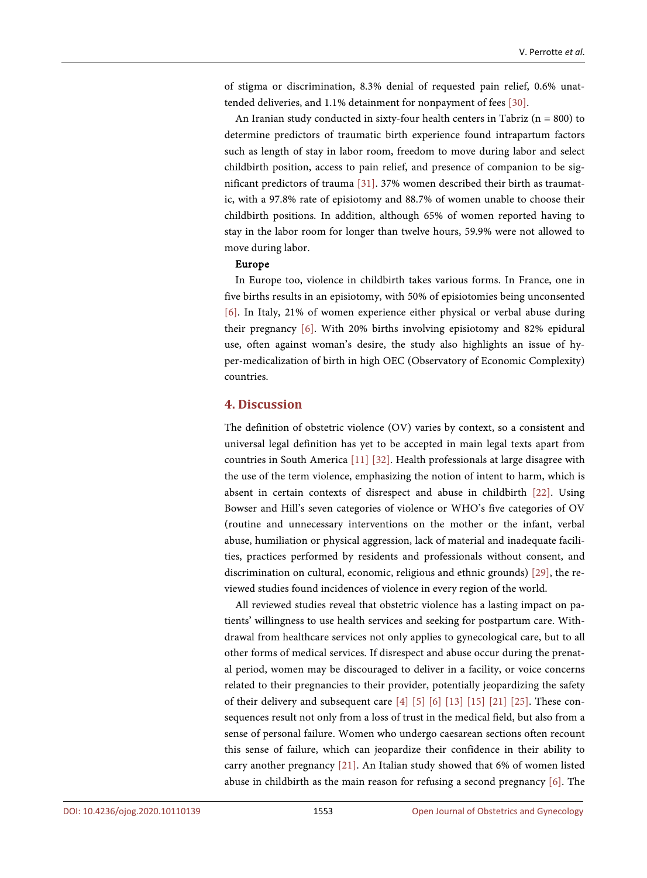of stigma or discrimination, 8.3% denial of requested pain relief, 0.6% unattended deliveries, and 1.1% detainment for nonpayment of fees [\[30\].](#page-17-3)

An Iranian study conducted in sixty-four health centers in Tabriz ( $n = 800$ ) to determine predictors of traumatic birth experience found intrapartum factors such as length of stay in labor room, freedom to move during labor and select childbirth position, access to pain relief, and presence of companion to be significant predictors of trauma [\[31\].](#page-17-4) 37% women described their birth as traumatic, with a 97.8% rate of episiotomy and 88.7% of women unable to choose their childbirth positions. In addition, although 65% of women reported having to stay in the labor room for longer than twelve hours, 59.9% were not allowed to move during labor.

#### Europe

In Europe too, violence in childbirth takes various forms. In France, one in five births results in an episiotomy, with 50% of episiotomies being unconsented [\[6\].](#page-15-7) In Italy, 21% of women experience either physical or verbal abuse during their pregnancy [\[6\].](#page-15-7) With 20% births involving episiotomy and 82% epidural use, often against woman's desire, the study also highlights an issue of hyper-medicalization of birth in high OEC (Observatory of Economic Complexity) countries.

# **4. Discussion**

The definition of obstetric violence (OV) varies by context, so a consistent and universal legal definition has yet to be accepted in main legal texts apart from countries in South America [\[11\]](#page-16-3) [\[32\].](#page-17-5) Health professionals at large disagree with the use of the term violence, emphasizing the notion of intent to harm, which is absent in certain contexts of disrespect and abuse in childbirth [\[22\].](#page-16-11) Using Bowser and Hill's seven categories of violence or WHO's five categories of OV (routine and unnecessary interventions on the mother or the infant, verbal abuse, humiliation or physical aggression, lack of material and inadequate facilities, practices performed by residents and professionals without consent, and discrimination on cultural, economic, religious and ethnic grounds) [\[29\],](#page-17-2) the reviewed studies found incidences of violence in every region of the world.

All reviewed studies reveal that obstetric violence has a lasting impact on patients' willingness to use health services and seeking for postpartum care. Withdrawal from healthcare services not only applies to gynecological care, but to all other forms of medical services. If disrespect and abuse occur during the prenatal period, women may be discouraged to deliver in a facility, or voice concerns related to their pregnancies to their provider, potentially jeopardizing the safety of their delivery and subsequent care [\[4\]](#page-15-5) [\[5\]](#page-15-8) [\[6\]](#page-15-7) [\[13\]](#page-16-4) [\[15\]](#page-16-2) [\[21\]](#page-16-10) [\[25\].](#page-16-14) These consequences result not only from a loss of trust in the medical field, but also from a sense of personal failure. Women who undergo caesarean sections often recount this sense of failure, which can jeopardize their confidence in their ability to carry another pregnancy [\[21\].](#page-16-10) An Italian study showed that 6% of women listed abuse in childbirth as the main reason for refusing a second pregnancy [\[6\].](#page-15-7) The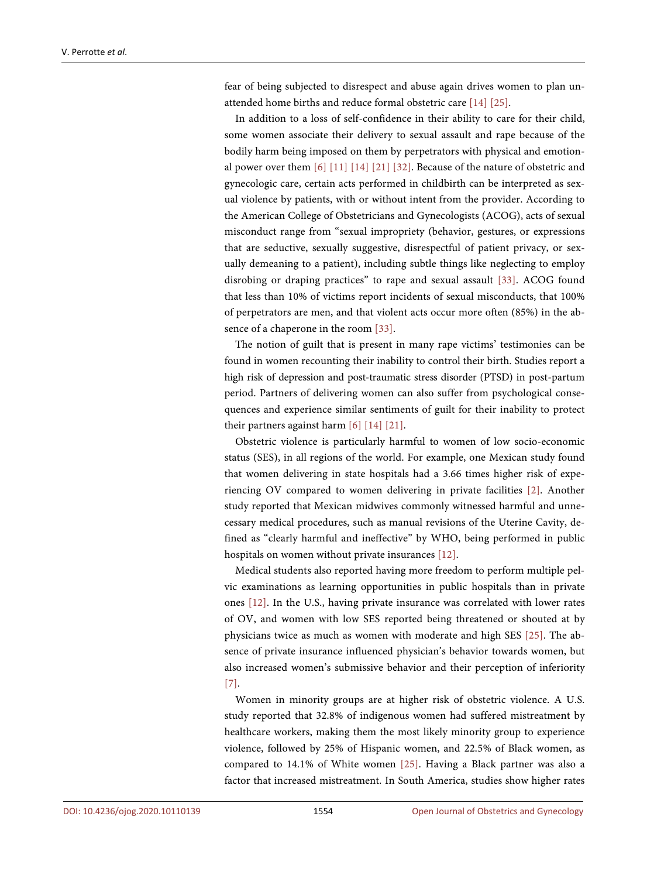fear of being subjected to disrespect and abuse again drives women to plan unattended home births and reduce formal obstetric care [\[14\]](#page-16-1) [\[25\].](#page-16-14)

In addition to a loss of self-confidence in their ability to care for their child, some women associate their delivery to sexual assault and rape because of the bodily harm being imposed on them by perpetrators with physical and emotional power over them [\[6\]](#page-15-7) [\[11\]](#page-16-3) [\[14\]](#page-16-1) [\[21\]](#page-16-10) [\[32\].](#page-17-5) Because of the nature of obstetric and gynecologic care, certain acts performed in childbirth can be interpreted as sexual violence by patients, with or without intent from the provider. According to the American College of Obstetricians and Gynecologists (ACOG), acts of sexual misconduct range from "sexual impropriety (behavior, gestures, or expressions that are seductive, sexually suggestive, disrespectful of patient privacy, or sexually demeaning to a patient), including subtle things like neglecting to employ disrobing or draping practices" to rape and sexual assault [\[33\].](#page-17-6) ACOG found that less than 10% of victims report incidents of sexual misconducts, that 100% of perpetrators are men, and that violent acts occur more often (85%) in the absence of a chaperone in the room [\[33\].](#page-17-6)

The notion of guilt that is present in many rape victims' testimonies can be found in women recounting their inability to control their birth. Studies report a high risk of depression and post-traumatic stress disorder (PTSD) in post-partum period. Partners of delivering women can also suffer from psychological consequences and experience similar sentiments of guilt for their inability to protect their partners against harm [\[6\]](#page-15-7) [\[14\]](#page-16-1) [\[21\].](#page-16-10)

Obstetric violence is particularly harmful to women of low socio-economic status (SES), in all regions of the world. For example, one Mexican study found that women delivering in state hospitals had a 3.66 times higher risk of experiencing OV compared to women delivering in private facilities [\[2\].](#page-15-1) Another study reported that Mexican midwives commonly witnessed harmful and unnecessary medical procedures, such as manual revisions of the Uterine Cavity, defined as "clearly harmful and ineffective" by WHO, being performed in public hospitals on women without private insurances [\[12\].](#page-16-0)

Medical students also reported having more freedom to perform multiple pelvic examinations as learning opportunities in public hospitals than in private ones [\[12\].](#page-16-0) In the U.S., having private insurance was correlated with lower rates of OV, and women with low SES reported being threatened or shouted at by physicians twice as much as women with moderate and high SES [\[25\].](#page-16-14) The absence of private insurance influenced physician's behavior towards women, but also increased women's submissive behavior and their perception of inferiority [\[7\].](#page-15-6)

Women in minority groups are at higher risk of obstetric violence. A U.S. study reported that 32.8% of indigenous women had suffered mistreatment by healthcare workers, making them the most likely minority group to experience violence, followed by 25% of Hispanic women, and 22.5% of Black women, as compared to 14.1% of White women [\[25\].](#page-16-14) Having a Black partner was also a factor that increased mistreatment. In South America, studies show higher rates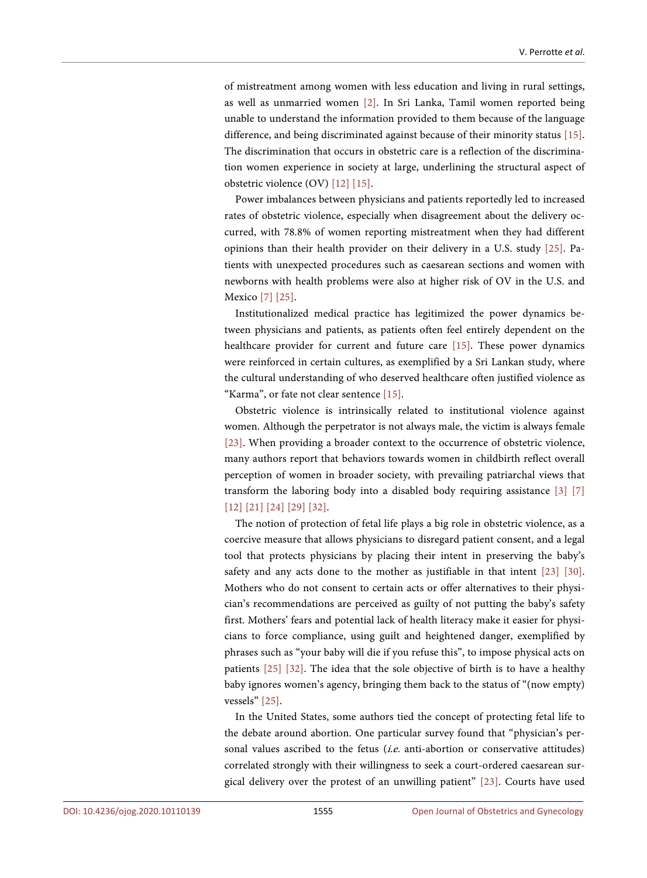of mistreatment among women with less education and living in rural settings, as well as unmarried women [\[2\].](#page-15-1) In Sri Lanka, Tamil women reported being unable to understand the information provided to them because of the language difference, and being discriminated against because of their minority status [\[15\].](#page-16-2)  The discrimination that occurs in obstetric care is a reflection of the discrimination women experience in society at large, underlining the structural aspect of obstetric violence (OV) [\[12\]](#page-16-0) [\[15\].](#page-16-2) 

Power imbalances between physicians and patients reportedly led to increased rates of obstetric violence, especially when disagreement about the delivery occurred, with 78.8% of women reporting mistreatment when they had different opinions than their health provider on their delivery in a U.S. study [\[25\].](#page-16-14) Patients with unexpected procedures such as caesarean sections and women with newborns with health problems were also at higher risk of OV in the U.S. and Mexic[o \[7\]](#page-15-6) [\[25\].](#page-16-14)

Institutionalized medical practice has legitimized the power dynamics between physicians and patients, as patients often feel entirely dependent on the healthcare provider for current and future care [\[15\].](#page-16-2) These power dynamics were reinforced in certain cultures, as exemplified by a Sri Lankan study, where the cultural understanding of who deserved healthcare often justified violence as "Karma", or fate not clear sentenc[e \[15\].](#page-16-2) 

Obstetric violence is intrinsically related to institutional violence against women. Although the perpetrator is not always male, the victim is always female [\[23\].](#page-16-12) When providing a broader context to the occurrence of obstetric violence, many authors report that behaviors towards women in childbirth reflect overall perception of women in broader society, with prevailing patriarchal views that transform the laboring body into a disabled body requiring assistance [\[3\]](#page-15-2) [\[7\]](#page-15-6) [\[12\]](#page-16-0) [\[21\]](#page-16-10) [\[24\]](#page-16-13) [\[29\]](#page-17-2) [\[32\].](#page-17-5)

The notion of protection of fetal life plays a big role in obstetric violence, as a coercive measure that allows physicians to disregard patient consent, and a legal tool that protects physicians by placing their intent in preserving the baby's safety and any acts done to the mother as justifiable in that intent [\[23\]](#page-16-12) [\[30\].](#page-17-3)  Mothers who do not consent to certain acts or offer alternatives to their physician's recommendations are perceived as guilty of not putting the baby's safety first. Mothers' fears and potential lack of health literacy make it easier for physicians to force compliance, using guilt and heightened danger, exemplified by phrases such as "your baby will die if you refuse this", to impose physical acts on patients [\[25\]](#page-16-14) [\[32\].](#page-17-5) The idea that the sole objective of birth is to have a healthy baby ignores women's agency, bringing them back to the status of "(now empty) vessels[" \[25\].](#page-16-14)

In the United States, some authors tied the concept of protecting fetal life to the debate around abortion. One particular survey found that "physician's personal values ascribed to the fetus (*i.e.* anti-abortion or conservative attitudes) correlated strongly with their willingness to seek a court-ordered caesarean surgical delivery over the protest of an unwilling patient" [\[23\].](#page-16-12) Courts have used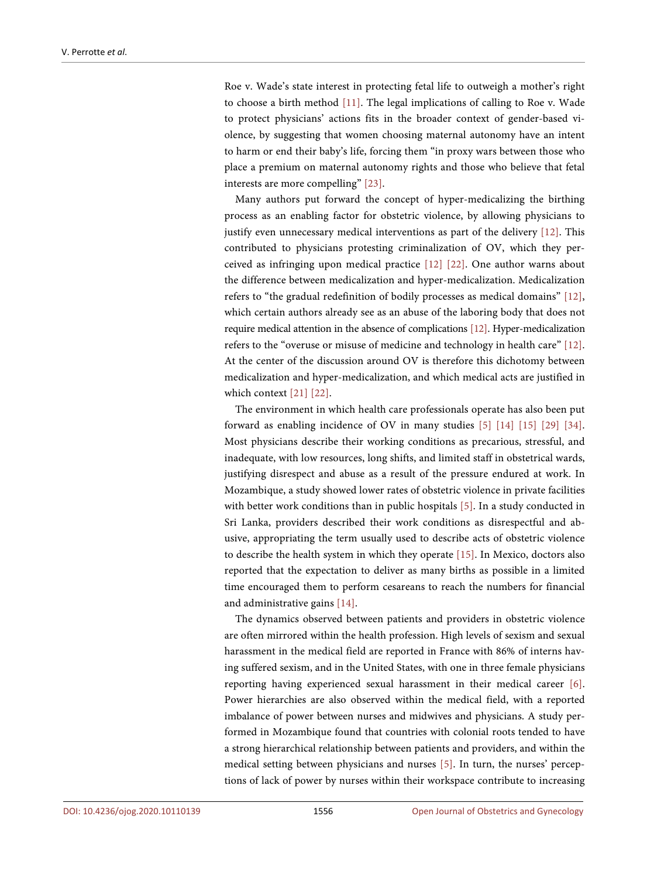Roe v. Wade's state interest in protecting fetal life to outweigh a mother's right to choose a birth method [\[11\].](#page-16-3) The legal implications of calling to Roe v. Wade to protect physicians' actions fits in the broader context of gender-based violence, by suggesting that women choosing maternal autonomy have an intent to harm or end their baby's life, forcing them "in proxy wars between those who place a premium on maternal autonomy rights and those who believe that fetal interests are more compelling" [\[23\].](#page-16-12)

Many authors put forward the concept of hyper-medicalizing the birthing process as an enabling factor for obstetric violence, by allowing physicians to justify even unnecessary medical interventions as part of the delivery [\[12\].](#page-16-0) This contributed to physicians protesting criminalization of OV, which they perceived as infringing upon medical practice [\[12\]](#page-16-0) [\[22\].](#page-16-11) One author warns about the difference between medicalization and hyper-medicalization. Medicalization refers to "the gradual redefinition of bodily processes as medical domains" [\[12\],](#page-16-0)  which certain authors already see as an abuse of the laboring body that does not require medical attention in the absence of complications [\[12\].](#page-16-0) Hyper-medicalization refers to the "overuse or misuse of medicine and technology in health care" [\[12\].](#page-16-0)  At the center of the discussion around OV is therefore this dichotomy between medicalization and hyper-medicalization, and which medical acts are justified in which context [\[21\]](#page-16-10) [\[22\].](#page-16-11)

The environment in which health care professionals operate has also been put forward as enabling incidence of OV in many studies [\[5\]](#page-15-8) [\[14\]](#page-16-1) [\[15\]](#page-16-2) [\[29\]](#page-17-2) [\[34\].](#page-17-7)  Most physicians describe their working conditions as precarious, stressful, and inadequate, with low resources, long shifts, and limited staff in obstetrical wards, justifying disrespect and abuse as a result of the pressure endured at work. In Mozambique, a study showed lower rates of obstetric violence in private facilities with better work conditions than in public hospitals [\[5\].](#page-15-8) In a study conducted in Sri Lanka, providers described their work conditions as disrespectful and abusive, appropriating the term usually used to describe acts of obstetric violence to describe the health system in which they operate [\[15\].](#page-16-2) In Mexico, doctors also reported that the expectation to deliver as many births as possible in a limited time encouraged them to perform cesareans to reach the numbers for financial and administrative gains [\[14\].](#page-16-1)

The dynamics observed between patients and providers in obstetric violence are often mirrored within the health profession. High levels of sexism and sexual harassment in the medical field are reported in France with 86% of interns having suffered sexism, and in the United States, with one in three female physicians reporting having experienced sexual harassment in their medical career [\[6\].](#page-15-7)  Power hierarchies are also observed within the medical field, with a reported imbalance of power between nurses and midwives and physicians. A study performed in Mozambique found that countries with colonial roots tended to have a strong hierarchical relationship between patients and providers, and within the medical setting between physicians and nurses [\[5\].](#page-15-8) In turn, the nurses' perceptions of lack of power by nurses within their workspace contribute to increasing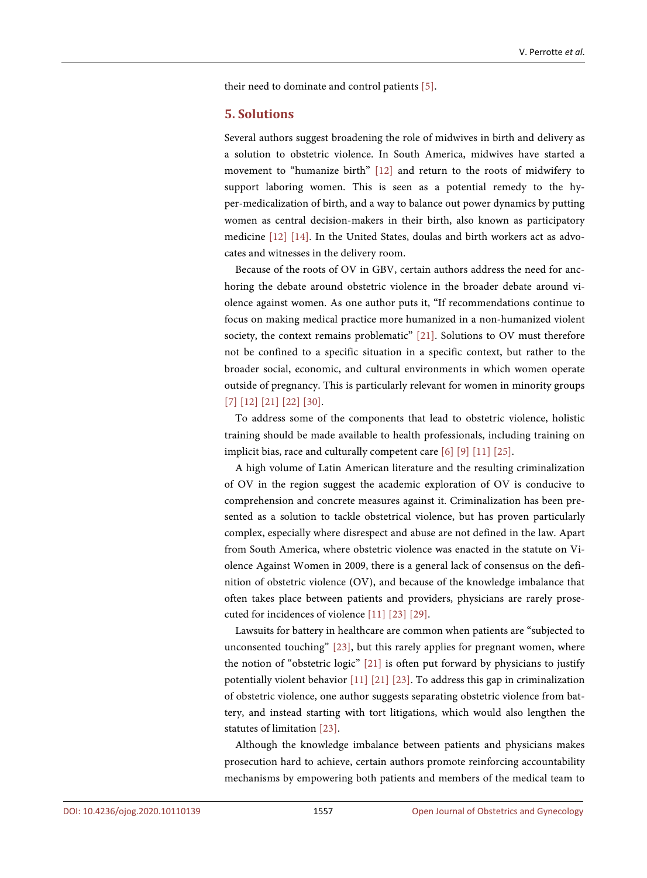their need to dominate and control patients [\[5\].](#page-15-8)

#### **5. Solutions**

Several authors suggest broadening the role of midwives in birth and delivery as a solution to obstetric violence. In South America, midwives have started a movement to "humanize birth" [\[12\]](#page-16-0) and return to the roots of midwifery to support laboring women. This is seen as a potential remedy to the hyper-medicalization of birth, and a way to balance out power dynamics by putting women as central decision-makers in their birth, also known as participatory medicine [\[12\]](#page-16-0) [\[14\].](#page-16-1) In the United States, doulas and birth workers act as advocates and witnesses in the delivery room.

Because of the roots of OV in GBV, certain authors address the need for anchoring the debate around obstetric violence in the broader debate around violence against women. As one author puts it, "If recommendations continue to focus on making medical practice more humanized in a non-humanized violent society, the context remains problematic" [\[21\].](#page-16-10) Solutions to OV must therefore not be confined to a specific situation in a specific context, but rather to the broader social, economic, and cultural environments in which women operate outside of pregnancy. This is particularly relevant for women in minority groups [\[7\]](#page-15-6) [\[12\]](#page-16-0) [\[21\]](#page-16-10) [\[22\]](#page-16-11) [\[30\].](#page-17-3)

To address some of the components that lead to obstetric violence, holistic training should be made available to health professionals, including training on implicit bias, race and culturally competent care [\[6\]](#page-15-7) [\[9\]](#page-15-3) [\[11\]](#page-16-3) [\[25\].](#page-16-14)

A high volume of Latin American literature and the resulting criminalization of OV in the region suggest the academic exploration of OV is conducive to comprehension and concrete measures against it. Criminalization has been presented as a solution to tackle obstetrical violence, but has proven particularly complex, especially where disrespect and abuse are not defined in the law. Apart from South America, where obstetric violence was enacted in the statute on Violence Against Women in 2009, there is a general lack of consensus on the definition of obstetric violence (OV), and because of the knowledge imbalance that often takes place between patients and providers, physicians are rarely prosecuted for incidences of violenc[e \[11\]](#page-16-3) [\[23\]](#page-16-12) [\[29\].](#page-17-2)

Lawsuits for battery in healthcare are common when patients are "subjected to unconsented touching" [\[23\],](#page-16-12) but this rarely applies for pregnant women, where the notion of "obstetric logic" [\[21\]](#page-16-10) is often put forward by physicians to justify potentially violent behavior [\[11\]](#page-16-3) [\[21\]](#page-16-10) [\[23\].](#page-16-12) To address this gap in criminalization of obstetric violence, one author suggests separating obstetric violence from battery, and instead starting with tort litigations, which would also lengthen the statutes of limitation [\[23\].](#page-16-12)

Although the knowledge imbalance between patients and physicians makes prosecution hard to achieve, certain authors promote reinforcing accountability mechanisms by empowering both patients and members of the medical team to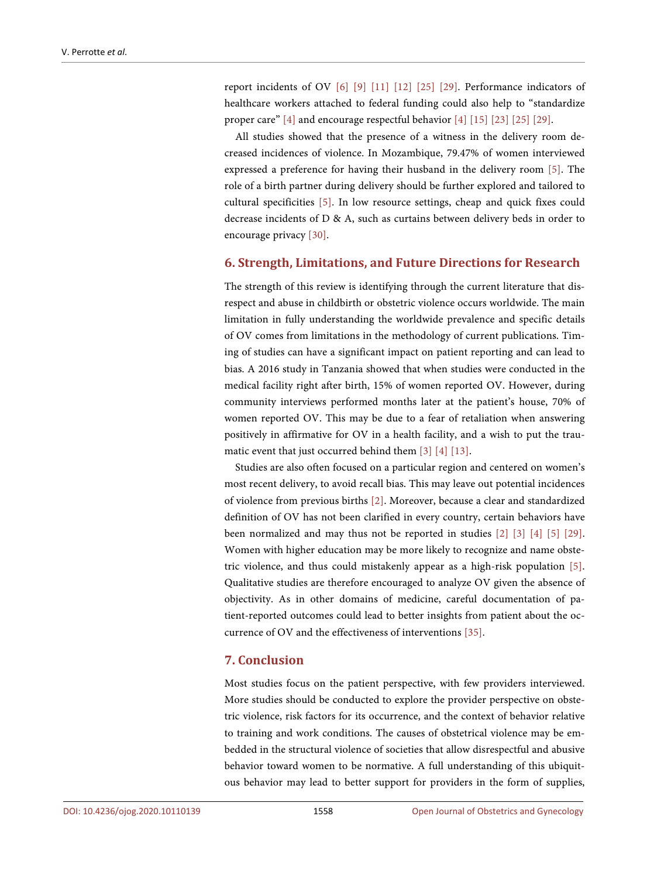report incidents of OV [\[6\]](#page-15-7) [\[9\]](#page-15-3) [\[11\]](#page-16-3) [\[12\]](#page-16-0) [\[25\]](#page-16-14) [\[29\].](#page-17-2) Performance indicators of healthcare workers attached to federal funding could also help to "standardize proper care" [\[4\]](#page-15-5) and encourage respectful behavior [\[4\]](#page-15-5) [\[15\]](#page-16-2) [\[23\]](#page-16-12) [\[25\]](#page-16-14) [\[29\].](#page-17-2)

All studies showed that the presence of a witness in the delivery room decreased incidences of violence. In Mozambique, 79.47% of women interviewed expressed a preference for having their husband in the delivery room [\[5\].](#page-15-8) The role of a birth partner during delivery should be further explored and tailored to cultural specificities [\[5\].](#page-15-8) In low resource settings, cheap and quick fixes could decrease incidents of D & A, such as curtains between delivery beds in order to encourage privacy [\[30\].](#page-17-3)

#### **6. Strength, Limitations, and Future Directions for Research**

The strength of this review is identifying through the current literature that disrespect and abuse in childbirth or obstetric violence occurs worldwide. The main limitation in fully understanding the worldwide prevalence and specific details of OV comes from limitations in the methodology of current publications. Timing of studies can have a significant impact on patient reporting and can lead to bias. A 2016 study in Tanzania showed that when studies were conducted in the medical facility right after birth, 15% of women reported OV. However, during community interviews performed months later at the patient's house, 70% of women reported OV. This may be due to a fear of retaliation when answering positively in affirmative for OV in a health facility, and a wish to put the traumatic event that just occurred behind them [\[3\]](#page-15-2) [\[4\]](#page-15-5) [\[13\].](#page-16-4)

Studies are also often focused on a particular region and centered on women's most recent delivery, to avoid recall bias. This may leave out potential incidences of violence from previous births [\[2\].](#page-15-1) Moreover, because a clear and standardized definition of OV has not been clarified in every country, certain behaviors have been normalized and may thus not be reported in studies [\[2\]](#page-15-1) [\[3\]](#page-15-2) [\[4\]](#page-15-5) [\[5\]](#page-15-8) [\[29\].](#page-17-2)  Women with higher education may be more likely to recognize and name obstetric violence, and thus could mistakenly appear as a high-risk population [\[5\].](#page-15-8)  Qualitative studies are therefore encouraged to analyze OV given the absence of objectivity. As in other domains of medicine, careful documentation of patient-reported outcomes could lead to better insights from patient about the occurrence of OV and the effectiveness of interventions [\[35\].](#page-17-8)

# **7. Conclusion**

Most studies focus on the patient perspective, with few providers interviewed. More studies should be conducted to explore the provider perspective on obstetric violence, risk factors for its occurrence, and the context of behavior relative to training and work conditions. The causes of obstetrical violence may be embedded in the structural violence of societies that allow disrespectful and abusive behavior toward women to be normative. A full understanding of this ubiquitous behavior may lead to better support for providers in the form of supplies,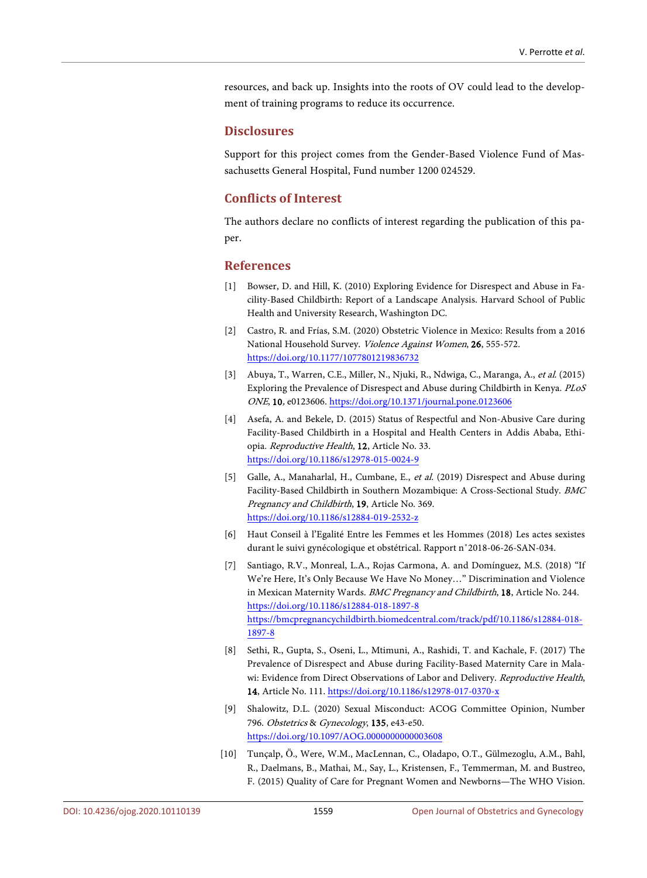resources, and back up. Insights into the roots of OV could lead to the development of training programs to reduce its occurrence.

#### **Disclosures**

Support for this project comes from the Gender-Based Violence Fund of Massachusetts General Hospital, Fund number 1200 024529.

#### **Conflicts of Interest**

The authors declare no conflicts of interest regarding the publication of this paper.

#### **References**

- <span id="page-15-0"></span>[1] Bowser, D. and Hill, K. (2010) Exploring Evidence for Disrespect and Abuse in Facility-Based Childbirth: Report of a Landscape Analysis. Harvard School of Public Health and University Research, Washington DC.
- <span id="page-15-1"></span>[2] Castro, R. and Frías, S.M. (2020) Obstetric Violence in Mexico: Results from a 2016 National Household Survey. Violence Against Women, 26, 555-572. <https://doi.org/10.1177/1077801219836732>
- <span id="page-15-2"></span>[3] Abuya, T., Warren, C.E., Miller, N., Njuki, R., Ndwiga, C., Maranga, A., et al. (2015) Exploring the Prevalence of Disrespect and Abuse during Childbirth in Kenya. PLoS ONE, 10, e0123606. <https://doi.org/10.1371/journal.pone.0123606>
- <span id="page-15-5"></span>[4] Asefa, A. and Bekele, D. (2015) Status of Respectful and Non-Abusive Care during Facility-Based Childbirth in a Hospital and Health Centers in Addis Ababa, Ethiopia. Reproductive Health, 12, Article No. 33. <https://doi.org/10.1186/s12978-015-0024-9>
- <span id="page-15-8"></span>[5] Galle, A., Manaharlal, H., Cumbane, E., et al. (2019) Disrespect and Abuse during Facility-Based Childbirth in Southern Mozambique: A Cross-Sectional Study. BMC Pregnancy and Childbirth, 19, Article No. 369. <https://doi.org/10.1186/s12884-019-2532-z>
- <span id="page-15-7"></span>[6] Haut Conseil à l'Egalité Entre les Femmes et les Hommes (2018) Les actes sexistes durant le suivi gynécologique et obstétrical. Rapport n˚2018-06-26-SAN-034.
- <span id="page-15-6"></span>[7] Santiago, R.V., Monreal, L.A., Rojas Carmona, A. and Domínguez, M.S. (2018) "If We're Here, It's Only Because We Have No Money…" Discrimination and Violence in Mexican Maternity Wards. BMC Pregnancy and Childbirth, 18, Article No. 244. <https://doi.org/10.1186/s12884-018-1897-8> [https://bmcpregnancychildbirth.biomedcentral.com/track/pdf/10.1186/s12884-018-](https://bmcpregnancychildbirth.biomedcentral.com/track/pdf/10.1186/s12884-018-1897-8) [1897-8](https://bmcpregnancychildbirth.biomedcentral.com/track/pdf/10.1186/s12884-018-1897-8)
- <span id="page-15-9"></span>[8] Sethi, R., Gupta, S., Oseni, L., Mtimuni, A., Rashidi, T. and Kachale, F. (2017) The Prevalence of Disrespect and Abuse during Facility-Based Maternity Care in Malawi: Evidence from Direct Observations of Labor and Delivery. Reproductive Health, 14, Article No. 111.<https://doi.org/10.1186/s12978-017-0370-x>
- <span id="page-15-3"></span>[9] Shalowitz, D.L. (2020) Sexual Misconduct: ACOG Committee Opinion, Number 796. Obstetrics & Gynecology, 135, e43-e50. <https://doi.org/10.1097/AOG.0000000000003608>
- <span id="page-15-4"></span>[10] Tunçalp, Ӧ., Were, W.M., MacLennan, C., Oladapo, O.T., Gülmezoglu, A.M., Bahl, R., Daelmans, B., Mathai, M., Say, L., Kristensen, F., Temmerman, M. and Bustreo, F. (2015) Quality of Care for Pregnant Women and Newborns—The WHO Vision.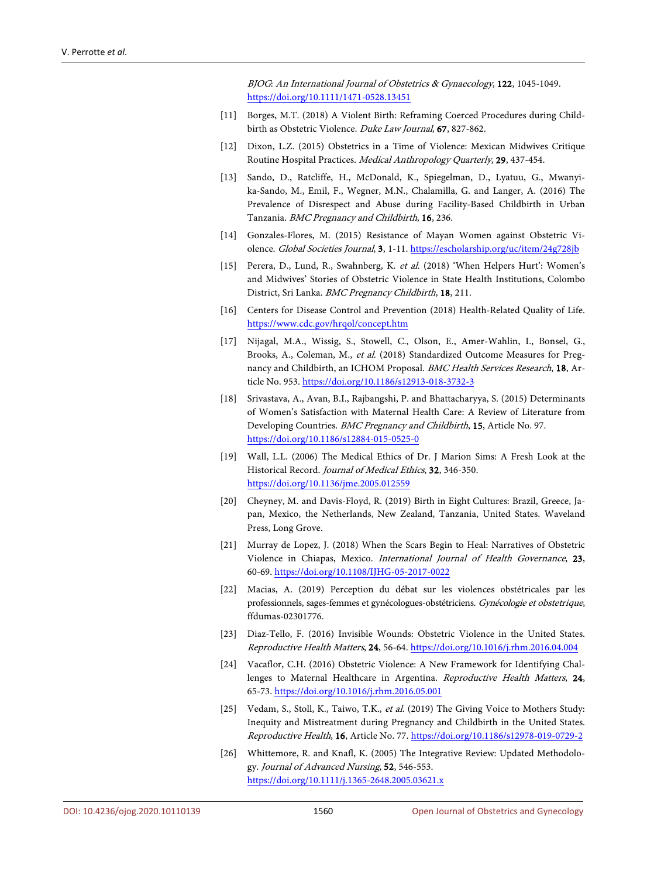BJOG: An International Journal of Obstetrics & Gynaecology, 122, 1045-1049. <https://doi.org/10.1111/1471-0528.13451>

- <span id="page-16-3"></span>[11] Borges, M.T. (2018) A Violent Birth: Reframing Coerced Procedures during Childbirth as Obstetric Violence. Duke Law Journal, 67, 827-862.
- <span id="page-16-0"></span>[12] Dixon, L.Z. (2015) Obstetrics in a Time of Violence: Mexican Midwives Critique Routine Hospital Practices. Medical Anthropology Quarterly, 29, 437-454.
- <span id="page-16-4"></span>[13] Sando, D., Ratcliffe, H., McDonald, K., Spiegelman, D., Lyatuu, G., Mwanyika-Sando, M., Emil, F., Wegner, M.N., Chalamilla, G. and Langer, A. (2016) The Prevalence of Disrespect and Abuse during Facility-Based Childbirth in Urban Tanzania. BMC Pregnancy and Childbirth, 16, 236.
- <span id="page-16-1"></span>[14] Gonzales-Flores, M. (2015) Resistance of Mayan Women against Obstetric Violence. Global Societies Journal, 3, 1-11.<https://escholarship.org/uc/item/24g728jb>
- <span id="page-16-2"></span>[15] Perera, D., Lund, R., Swahnberg, K. et al. (2018) 'When Helpers Hurt': Women's and Midwives' Stories of Obstetric Violence in State Health Institutions, Colombo District, Sri Lanka. BMC Pregnancy Childbirth, 18, 211.
- <span id="page-16-5"></span>[16] Centers for Disease Control and Prevention (2018) Health-Related Quality of Life. <https://www.cdc.gov/hrqol/concept.htm>
- <span id="page-16-6"></span>[17] Nijagal, M.A., Wissig, S., Stowell, C., Olson, E., Amer-Wahlin, I., Bonsel, G., Brooks, A., Coleman, M., et al. (2018) Standardized Outcome Measures for Pregnancy and Childbirth, an ICHOM Proposal. BMC Health Services Research, 18, Article No. 953[. https://doi.org/10.1186/s12913-018-3732-3](https://doi.org/10.1186/s12913-018-3732-3)
- <span id="page-16-7"></span>[18] Srivastava, A., Avan, B.I., Rajbangshi, P. and Bhattacharyya, S. (2015) Determinants of Women's Satisfaction with Maternal Health Care: A Review of Literature from Developing Countries. BMC Pregnancy and Childbirth, 15, Article No. 97. <https://doi.org/10.1186/s12884-015-0525-0>
- <span id="page-16-8"></span>[19] Wall, L.L. (2006) The Medical Ethics of Dr. J Marion Sims: A Fresh Look at the Historical Record. Journal of Medical Ethics, 32, 346-350. <https://doi.org/10.1136/jme.2005.012559>
- <span id="page-16-9"></span>[20] Cheyney, M. and Davis-Floyd, R. (2019) Birth in Eight Cultures: Brazil, Greece, Japan, Mexico, the Netherlands, New Zealand, Tanzania, United States. Waveland Press, Long Grove.
- <span id="page-16-10"></span>[21] Murray de Lopez, J. (2018) When the Scars Begin to Heal: Narratives of Obstetric Violence in Chiapas, Mexico. International Journal of Health Governance, 23, 60-69. <https://doi.org/10.1108/IJHG-05-2017-0022>
- <span id="page-16-11"></span>[22] Macias, A. (2019) Perception du débat sur les violences obstétricales par les professionnels, sages-femmes et gynécologues-obstétriciens. Gynécologie et obstetrique, ffdumas-02301776.
- <span id="page-16-12"></span>[23] Diaz-Tello, F. (2016) Invisible Wounds: Obstetric Violence in the United States. Reproductive Health Matters, 24, 56-64.<https://doi.org/10.1016/j.rhm.2016.04.004>
- <span id="page-16-13"></span>[24] Vacaflor, C.H. (2016) Obstetric Violence: A New Framework for Identifying Challenges to Maternal Healthcare in Argentina. Reproductive Health Matters, 24, 65-73.<https://doi.org/10.1016/j.rhm.2016.05.001>
- <span id="page-16-14"></span>[25] Vedam, S., Stoll, K., Taiwo, T.K., et al. (2019) The Giving Voice to Mothers Study: Inequity and Mistreatment during Pregnancy and Childbirth in the United States. Reproductive Health, 16, Article No. 77. <https://doi.org/10.1186/s12978-019-0729-2>
- <span id="page-16-15"></span>[26] Whittemore, R. and Knafl, K. (2005) The Integrative Review: Updated Methodology. Journal of Advanced Nursing, 52, 546-553. <https://doi.org/10.1111/j.1365-2648.2005.03621.x>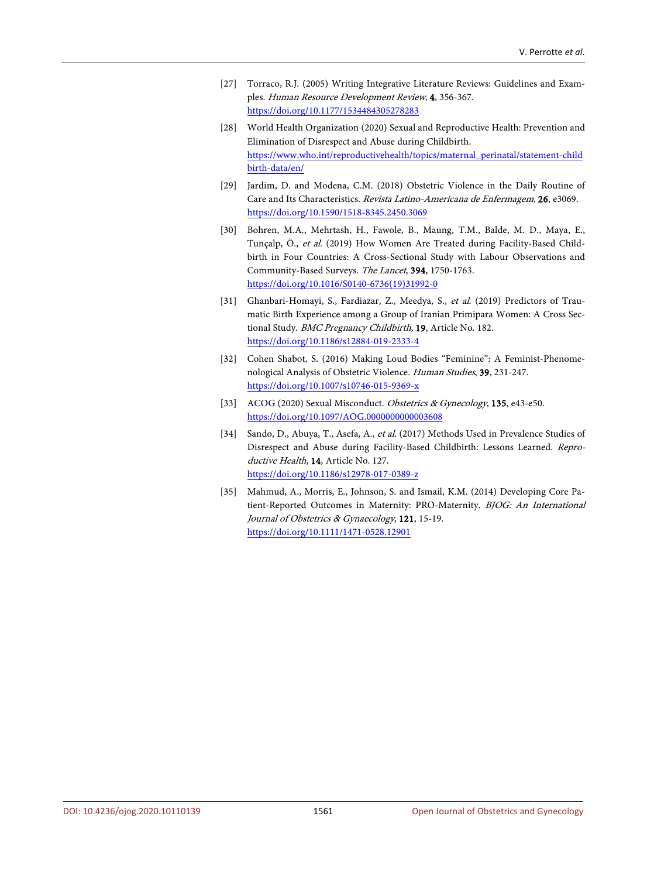- <span id="page-17-0"></span>[27] Torraco, R.J. (2005) Writing Integrative Literature Reviews: Guidelines and Examples. Human Resource Development Review, 4, 356-367. <https://doi.org/10.1177/1534484305278283>
- <span id="page-17-1"></span>[28] World Health Organization (2020) Sexual and Reproductive Health: Prevention and Elimination of Disrespect and Abuse during Childbirth. [https://www.who.int/reproductivehealth/topics/maternal\\_perinatal/statement-child](https://www.who.int/reproductivehealth/topics/maternal_perinatal/statement-childbirth-data/en/) [birth-data/en/](https://www.who.int/reproductivehealth/topics/maternal_perinatal/statement-childbirth-data/en/)
- <span id="page-17-2"></span>[29] Jardim, D. and Modena, C.M. (2018) Obstetric Violence in the Daily Routine of Care and Its Characteristics. Revista Latino-Americana de Enfermagem, 26, e3069. <https://doi.org/10.1590/1518-8345.2450.3069>
- <span id="page-17-3"></span>[30] Bohren, M.A., Mehrtash, H., Fawole, B., Maung, T.M., Balde, M. D., Maya, E., Tunçalp, Ö., et al. (2019) How Women Are Treated during Facility-Based Childbirth in Four Countries: A Cross-Sectional Study with Labour Observations and Community-Based Surveys. The Lancet, 394, 1750-1763. [https://doi.org/10.1016/S0140-6736\(19\)31992-0](https://doi.org/10.1016/S0140-6736(19)31992-0)
- <span id="page-17-4"></span>[31] Ghanbari-Homayi, S., Fardiazar, Z., Meedya, S., et al. (2019) Predictors of Traumatic Birth Experience among a Group of Iranian Primipara Women: A Cross Sectional Study. BMC Pregnancy Childbirth, 19, Article No. 182. <https://doi.org/10.1186/s12884-019-2333-4>
- <span id="page-17-5"></span>[32] Cohen Shabot, S. (2016) Making Loud Bodies "Feminine": A Feminist-Phenomenological Analysis of Obstetric Violence. Human Studies, 39, 231-247. <https://doi.org/10.1007/s10746-015-9369-x>
- <span id="page-17-6"></span>[33] ACOG (2020) Sexual Misconduct. Obstetrics & Gynecology, 135, e43-e50. <https://doi.org/10.1097/AOG.0000000000003608>
- <span id="page-17-7"></span>[34] Sando, D., Abuya, T., Asefa, A., et al. (2017) Methods Used in Prevalence Studies of Disrespect and Abuse during Facility-Based Childbirth: Lessons Learned. Reproductive Health, 14, Article No. 127. <https://doi.org/10.1186/s12978-017-0389-z>
- <span id="page-17-8"></span>[35] Mahmud, A., Morris, E., Johnson, S. and Ismail, K.M. (2014) Developing Core Patient-Reported Outcomes in Maternity: PRO-Maternity. BJOG: An International Journal of Obstetrics & Gynaecology, 121, 15-19. <https://doi.org/10.1111/1471-0528.12901>